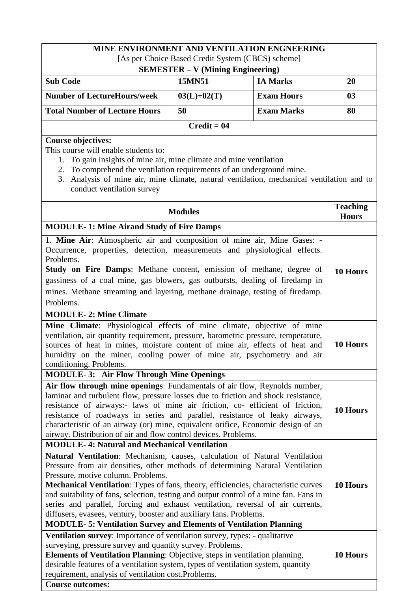|                                                                                                                                                                                                                                                                                                                                                                                                                                                                                                                                                  |                                          | MINE ENVIRONMENT AND VENTILATION ENGNEERING       |                                 |
|--------------------------------------------------------------------------------------------------------------------------------------------------------------------------------------------------------------------------------------------------------------------------------------------------------------------------------------------------------------------------------------------------------------------------------------------------------------------------------------------------------------------------------------------------|------------------------------------------|---------------------------------------------------|---------------------------------|
|                                                                                                                                                                                                                                                                                                                                                                                                                                                                                                                                                  |                                          | [As per Choice Based Credit System (CBCS) scheme] |                                 |
|                                                                                                                                                                                                                                                                                                                                                                                                                                                                                                                                                  | <b>SEMESTER - V (Mining Engineering)</b> |                                                   |                                 |
| <b>Sub Code</b>                                                                                                                                                                                                                                                                                                                                                                                                                                                                                                                                  | 15MN51                                   | <b>IA Marks</b>                                   | 20                              |
| <b>Number of LectureHours/week</b>                                                                                                                                                                                                                                                                                                                                                                                                                                                                                                               | $03(L)+02(T)$                            | <b>Exam Hours</b>                                 | 03                              |
| <b>Total Number of Lecture Hours</b>                                                                                                                                                                                                                                                                                                                                                                                                                                                                                                             | 50                                       | <b>Exam Marks</b>                                 | 80                              |
|                                                                                                                                                                                                                                                                                                                                                                                                                                                                                                                                                  | $Credit = 04$                            |                                                   |                                 |
| <b>Course objectives:</b>                                                                                                                                                                                                                                                                                                                                                                                                                                                                                                                        |                                          |                                                   |                                 |
| This course will enable students to:<br>1.<br>To gain insights of mine air, mine climate and mine ventilation<br>2. To comprehend the ventilation requirements of an underground mine.<br>3. Analysis of mine air, mine climate, natural ventilation, mechanical ventilation and to<br>conduct ventilation survey                                                                                                                                                                                                                                |                                          |                                                   |                                 |
|                                                                                                                                                                                                                                                                                                                                                                                                                                                                                                                                                  | <b>Modules</b>                           |                                                   | <b>Teaching</b><br><b>Hours</b> |
| <b>MODULE-1: Mine Airand Study of Fire Damps</b>                                                                                                                                                                                                                                                                                                                                                                                                                                                                                                 |                                          |                                                   |                                 |
| 1. Mine Air: Atmospheric air and composition of mine air, Mine Gases: -<br>Occurrence, properties, detection, measurements and physiological effects.<br>Problems.<br>Study on Fire Damps: Methane content, emission of methane, degree of<br>gassiness of a coal mine, gas blowers, gas outbursts, dealing of firedamp in<br>mines. Methane streaming and layering, methane drainage, testing of firedamp.<br>Problems.                                                                                                                         |                                          |                                                   | 10 Hours                        |
| <b>MODULE-2: Mine Climate</b>                                                                                                                                                                                                                                                                                                                                                                                                                                                                                                                    |                                          |                                                   |                                 |
| Mine Climate: Physiological effects of mine climate, objective of mine<br>ventilation, air quantity requirement, pressure, barometric pressure, temperature,<br>sources of heat in mines, moisture content of mine air, effects of heat and<br>humidity on the miner, cooling power of mine air, psychometry and air<br>conditioning. Problems.                                                                                                                                                                                                  |                                          | 10 Hours                                          |                                 |
| <b>MODULE-3: Air Flow Through Mine Openings</b>                                                                                                                                                                                                                                                                                                                                                                                                                                                                                                  |                                          |                                                   |                                 |
| Air flow through mine openings: Fundamentals of air flow, Reynolds number,<br>laminar and turbulent flow, pressure losses due to friction and shock resistance,<br>resistance of airways:- laws of mine air friction, co- efficient of friction,<br>resistance of roadways in series and parallel, resistance of leaky airways,<br>characteristic of an airway (or) mine, equivalent orifice, Economic design of an<br>airway. Distribution of air and flow control devices. Problems.                                                           |                                          |                                                   | 10 Hours                        |
| <b>MODULE-4: Natural and Mechanical Ventilation</b>                                                                                                                                                                                                                                                                                                                                                                                                                                                                                              |                                          |                                                   |                                 |
| <b>Natural Ventilation:</b> Mechanism, causes, calculation of Natural Ventilation<br>Pressure from air densities, other methods of determining Natural Ventilation<br>Pressure, motive column. Problems.<br>Mechanical Ventilation: Types of fans, theory, efficiencies, characteristic curves<br>and suitability of fans, selection, testing and output control of a mine fan. Fans in<br>series and parallel, forcing and exhaust ventilation, reversal of air currents,<br>diffusers, evasees, ventury, booster and auxiliary fans. Problems. |                                          |                                                   | 10 Hours                        |
| <b>MODULE-5: Ventilation Survey and Elements of Ventilation Planning</b>                                                                                                                                                                                                                                                                                                                                                                                                                                                                         |                                          |                                                   |                                 |
| Ventilation survey: Importance of ventilation survey, types: - qualitative<br>surveying, pressure survey and quantity survey. Problems.<br>Elements of Ventilation Planning: Objective, steps in ventilation planning,<br>desirable features of a ventilation system, types of ventilation system, quantity<br>requirement, analysis of ventilation cost. Problems.                                                                                                                                                                              |                                          |                                                   | 10 Hours                        |
| <b>Course outcomes:</b>                                                                                                                                                                                                                                                                                                                                                                                                                                                                                                                          |                                          |                                                   |                                 |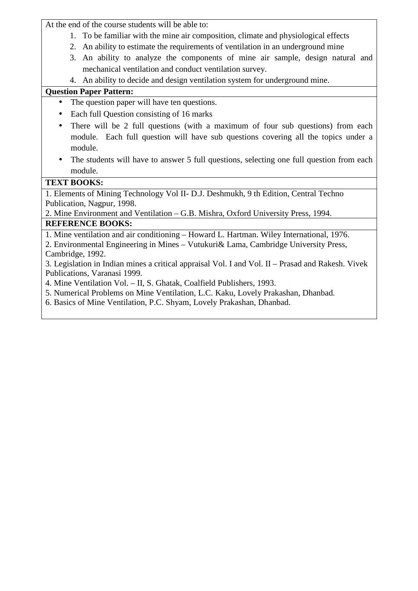At the end of the course students will be able to:

- 1. To be familiar with the mine air composition, climate and physiological effects
- 2. An ability to estimate the requirements of ventilation in an underground mine
- 3. An ability to analyze the components of mine air sample, design natural and mechanical ventilation and conduct ventilation survey.
- 4. An ability to decide and design ventilation system for underground mine.

# **Question Paper Pattern:**

- The question paper will have ten questions.
- Each full Question consisting of 16 marks
- There will be 2 full questions (with a maximum of four sub questions) from each module. Each full question will have sub questions covering all the topics under a module.
- The students will have to answer 5 full questions, selecting one full question from each module.

# **TEXT BOOKS:**

1. Elements of Mining Technology Vol II- D.J. Deshmukh, 9 th Edition, Central Techno Publication, Nagpur, 1998.

2. Mine Environment and Ventilation – G.B. Mishra, Oxford University Press, 1994. **REFERENCE BOOKS:** 

1. Mine ventilation and air conditioning – Howard L. Hartman. Wiley International, 1976.

2. Environmental Engineering in Mines – Vutukuri& Lama, Cambridge University Press, Cambridge, 1992.

3. Legislation in Indian mines a critical appraisal Vol. I and Vol. II – Prasad and Rakesh. Vivek Publications, Varanasi 1999.

4. Mine Ventilation Vol. – II, S. Ghatak, Coalfield Publishers, 1993.

5. Numerical Problems on Mine Ventilation, L.C. Kaku, Lovely Prakashan, Dhanbad.

6. Basics of Mine Ventilation, P.C. Shyam, Lovely Prakashan, Dhanbad.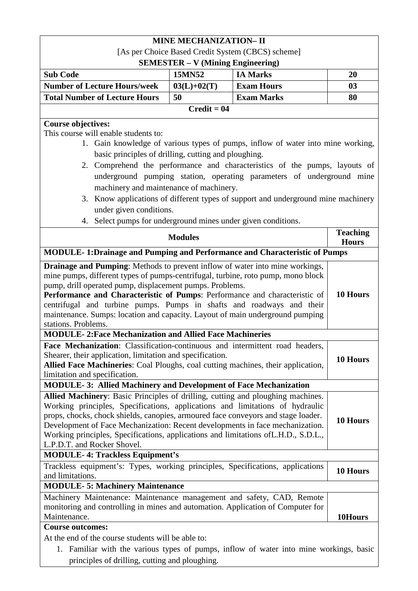|                                                                                                                                                                                                                                                                                                                                                                                                                                                                                            | <b>MINE MECHANIZATION- II</b> |                                                                                                                                                                                                                                        |                                 |  |
|--------------------------------------------------------------------------------------------------------------------------------------------------------------------------------------------------------------------------------------------------------------------------------------------------------------------------------------------------------------------------------------------------------------------------------------------------------------------------------------------|-------------------------------|----------------------------------------------------------------------------------------------------------------------------------------------------------------------------------------------------------------------------------------|---------------------------------|--|
| [As per Choice Based Credit System (CBCS) scheme]                                                                                                                                                                                                                                                                                                                                                                                                                                          |                               |                                                                                                                                                                                                                                        |                                 |  |
| <b>SEMESTER - V (Mining Engineering)</b><br><b>Sub Code</b><br>15MN52<br><b>IA Marks</b><br>20                                                                                                                                                                                                                                                                                                                                                                                             |                               |                                                                                                                                                                                                                                        |                                 |  |
| <b>Number of Lecture Hours/week</b>                                                                                                                                                                                                                                                                                                                                                                                                                                                        | $03(L)+02(T)$                 | <b>Exam Hours</b>                                                                                                                                                                                                                      | 03                              |  |
| <b>Total Number of Lecture Hours</b>                                                                                                                                                                                                                                                                                                                                                                                                                                                       | 50                            | <b>Exam Marks</b>                                                                                                                                                                                                                      | 80                              |  |
|                                                                                                                                                                                                                                                                                                                                                                                                                                                                                            | $Credit = 04$                 |                                                                                                                                                                                                                                        |                                 |  |
|                                                                                                                                                                                                                                                                                                                                                                                                                                                                                            |                               |                                                                                                                                                                                                                                        |                                 |  |
| <b>Course objectives:</b><br>This course will enable students to:<br>basic principles of drilling, cutting and ploughing.                                                                                                                                                                                                                                                                                                                                                                  |                               | 1. Gain knowledge of various types of pumps, inflow of water into mine working,<br>2. Comprehend the performance and characteristics of the pumps, layouts of<br>underground pumping station, operating parameters of underground mine |                                 |  |
| machinery and maintenance of machinery.                                                                                                                                                                                                                                                                                                                                                                                                                                                    |                               | 3. Know applications of different types of support and underground mine machinery                                                                                                                                                      |                                 |  |
| under given conditions.                                                                                                                                                                                                                                                                                                                                                                                                                                                                    |                               |                                                                                                                                                                                                                                        |                                 |  |
| 4. Select pumps for underground mines under given conditions.                                                                                                                                                                                                                                                                                                                                                                                                                              |                               |                                                                                                                                                                                                                                        |                                 |  |
|                                                                                                                                                                                                                                                                                                                                                                                                                                                                                            | <b>Modules</b>                |                                                                                                                                                                                                                                        | <b>Teaching</b><br><b>Hours</b> |  |
| <b>MODULE-1:Drainage and Pumping and Performance and Characteristic of Pumps</b>                                                                                                                                                                                                                                                                                                                                                                                                           |                               |                                                                                                                                                                                                                                        |                                 |  |
| mine pumps, different types of pumps-centrifugal, turbine, roto pump, mono block<br>pump, drill operated pump, displacement pumps. Problems.<br>10 Hours<br>Performance and Characteristic of Pumps: Performance and characteristic of<br>centrifugal and turbine pumps. Pumps in shafts and roadways and their<br>maintenance. Sumps: location and capacity. Layout of main underground pumping<br>stations. Problems.<br><b>MODULE-2: Face Mechanization and Allied Face Machineries</b> |                               |                                                                                                                                                                                                                                        |                                 |  |
| Face Mechanization: Classification-continuous and intermittent road headers,                                                                                                                                                                                                                                                                                                                                                                                                               |                               |                                                                                                                                                                                                                                        |                                 |  |
| Shearer, their application, limitation and specification.<br>Allied Face Machineries: Coal Ploughs, coal cutting machines, their application,<br>limitation and specification.                                                                                                                                                                                                                                                                                                             |                               |                                                                                                                                                                                                                                        | 10 Hours                        |  |
| <b>MODULE-3: Allied Machinery and Development of Face Mechanization</b>                                                                                                                                                                                                                                                                                                                                                                                                                    |                               |                                                                                                                                                                                                                                        |                                 |  |
| Allied Machinery: Basic Principles of drilling, cutting and ploughing machines.<br>Working principles, Specifications, applications and limitations of hydraulic<br>props, chocks, chock shields, canopies, armoured face conveyors and stage loader.<br>Development of Face Mechanization: Recent developments in face mechanization.<br>Working principles, Specifications, applications and limitations of L.H.D., S.D.L.,<br>L.P.D.T. and Rocker Shovel.                               |                               |                                                                                                                                                                                                                                        | 10 Hours                        |  |
| <b>MODULE-4: Trackless Equipment's</b>                                                                                                                                                                                                                                                                                                                                                                                                                                                     |                               |                                                                                                                                                                                                                                        |                                 |  |
| Trackless equipment's: Types, working principles, Specifications, applications<br>and limitations.                                                                                                                                                                                                                                                                                                                                                                                         |                               |                                                                                                                                                                                                                                        | 10 Hours                        |  |
| <b>MODULE-5: Machinery Maintenance</b>                                                                                                                                                                                                                                                                                                                                                                                                                                                     |                               |                                                                                                                                                                                                                                        |                                 |  |
| Machinery Maintenance: Maintenance management and safety, CAD, Remote<br>monitoring and controlling in mines and automation. Application of Computer for<br>Maintenance.                                                                                                                                                                                                                                                                                                                   |                               |                                                                                                                                                                                                                                        | 10Hours                         |  |
| <b>Course outcomes:</b>                                                                                                                                                                                                                                                                                                                                                                                                                                                                    |                               |                                                                                                                                                                                                                                        |                                 |  |
| At the end of the course students will be able to:<br>1. Familiar with the various types of pumps, inflow of water into mine workings, basic<br>principles of drilling, cutting and ploughing.                                                                                                                                                                                                                                                                                             |                               |                                                                                                                                                                                                                                        |                                 |  |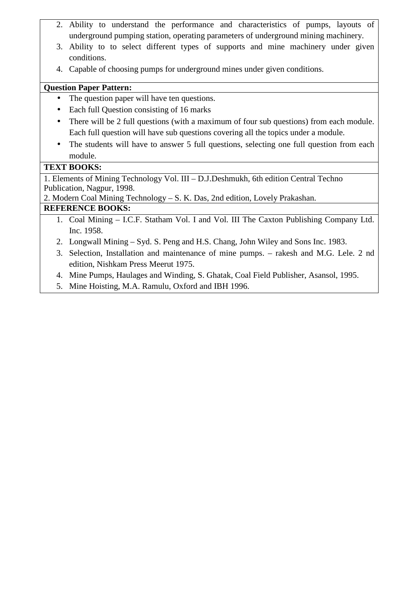- 2. Ability to understand the performance and characteristics of pumps, layouts of underground pumping station, operating parameters of underground mining machinery.
- 3. Ability to to select different types of supports and mine machinery under given conditions.
- 4. Capable of choosing pumps for underground mines under given conditions.

### **Question Paper Pattern:**

- The question paper will have ten questions.
- Each full Question consisting of 16 marks
- There will be 2 full questions (with a maximum of four sub questions) from each module. Each full question will have sub questions covering all the topics under a module.
- The students will have to answer 5 full questions, selecting one full question from each module.

# **TEXT BOOKS:**

1. Elements of Mining Technology Vol. III – D.J.Deshmukh, 6th edition Central Techno Publication, Nagpur, 1998.

2. Modern Coal Mining Technology – S. K. Das, 2nd edition, Lovely Prakashan.

# **REFERENCE BOOKS:**

- 1. Coal Mining I.C.F. Statham Vol. I and Vol. III The Caxton Publishing Company Ltd. Inc. 1958.
- 2. Longwall Mining Syd. S. Peng and H.S. Chang, John Wiley and Sons Inc. 1983.
- 3. Selection, Installation and maintenance of mine pumps. rakesh and M.G. Lele. 2 nd edition, Nishkam Press Meerut 1975.
- 4. Mine Pumps, Haulages and Winding, S. Ghatak, Coal Field Publisher, Asansol, 1995.
- 5. Mine Hoisting, M.A. Ramulu, Oxford and IBH 1996.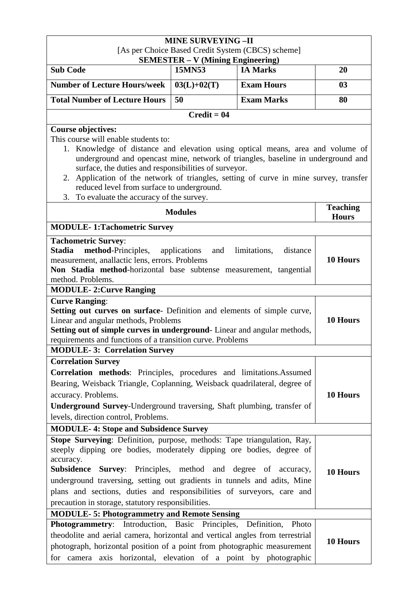| <b>MINE SURVEYING -II</b><br>[As per Choice Based Credit System (CBCS) scheme]                                                                                                                                                                                                                                                                                                                                                                                                        |                |                   |                                 |  |
|---------------------------------------------------------------------------------------------------------------------------------------------------------------------------------------------------------------------------------------------------------------------------------------------------------------------------------------------------------------------------------------------------------------------------------------------------------------------------------------|----------------|-------------------|---------------------------------|--|
| <b>SEMESTER - V (Mining Engineering)</b><br><b>IA Marks</b><br><b>Sub Code</b><br>15MN53<br>20                                                                                                                                                                                                                                                                                                                                                                                        |                |                   |                                 |  |
| <b>Number of Lecture Hours/week</b>                                                                                                                                                                                                                                                                                                                                                                                                                                                   | $03(L)+02(T)$  | <b>Exam Hours</b> | 0 <sub>3</sub>                  |  |
| <b>Total Number of Lecture Hours</b>                                                                                                                                                                                                                                                                                                                                                                                                                                                  | 50             | <b>Exam Marks</b> | 80                              |  |
|                                                                                                                                                                                                                                                                                                                                                                                                                                                                                       | $Credit = 04$  |                   |                                 |  |
| <b>Course objectives:</b><br>This course will enable students to:<br>1. Knowledge of distance and elevation using optical means, area and volume of<br>underground and opencast mine, network of triangles, baseline in underground and<br>surface, the duties and responsibilities of surveyor.<br>2. Application of the network of triangles, setting of curve in mine survey, transfer<br>reduced level from surface to underground.<br>3. To evaluate the accuracy of the survey. |                |                   |                                 |  |
|                                                                                                                                                                                                                                                                                                                                                                                                                                                                                       | <b>Modules</b> |                   | <b>Teaching</b><br><b>Hours</b> |  |
| <b>MODULE-1:Tachometric Survey</b>                                                                                                                                                                                                                                                                                                                                                                                                                                                    |                |                   |                                 |  |
| <b>Tachometric Survey:</b><br><b>Stadia</b><br>method-Principles,<br>applications<br>and<br>limitations,<br>distance<br>measurement, anallactic lens, errors. Problems<br>Non Stadia method-horizontal base subtense measurement, tangential<br>method. Problems.                                                                                                                                                                                                                     |                |                   | 10 Hours                        |  |
| <b>MODULE-2: Curve Ranging</b><br><b>Curve Ranging:</b><br>Setting out curves on surface Definition and elements of simple curve,<br>Linear and angular methods, Problems<br>Setting out of simple curves in underground- Linear and angular methods,<br>requirements and functions of a transition curve. Problems                                                                                                                                                                   |                |                   | 10 Hours                        |  |
| <b>MODULE-3: Correlation Survey</b>                                                                                                                                                                                                                                                                                                                                                                                                                                                   |                |                   |                                 |  |
| <b>Correlation Survey</b><br>Correlation methods: Principles, procedures and limitations.Assumed<br>Bearing, Weisback Triangle, Coplanning, Weisback quadrilateral, degree of<br>accuracy. Problems.<br><b>Underground Survey-Underground traversing, Shaft plumbing, transfer of</b><br>levels, direction control, Problems.                                                                                                                                                         |                |                   | 10 Hours                        |  |
| <b>MODULE-4: Stope and Subsidence Survey</b>                                                                                                                                                                                                                                                                                                                                                                                                                                          |                |                   |                                 |  |
| Stope Surveying: Definition, purpose, methods: Tape triangulation, Ray,<br>steeply dipping ore bodies, moderately dipping ore bodies, degree of<br>accuracy.<br><b>Subsidence Survey:</b> Principles, method and degree of accuracy,<br>underground traversing, setting out gradients in tunnels and adits, Mine<br>plans and sections, duties and responsibilities of surveyors, care and<br>precaution in storage, statutory responsibilities.                                      |                |                   | 10 Hours                        |  |
| <b>MODULE-5: Photogrammetry and Remote Sensing</b><br>Photogrammetry: Introduction, Basic Principles, Definition, Photo                                                                                                                                                                                                                                                                                                                                                               |                |                   |                                 |  |
| theodolite and aerial camera, horizontal and vertical angles from terrestrial<br>photograph, horizontal position of a point from photographic measurement<br>for camera axis horizontal, elevation of a point by photographic                                                                                                                                                                                                                                                         |                |                   | 10 Hours                        |  |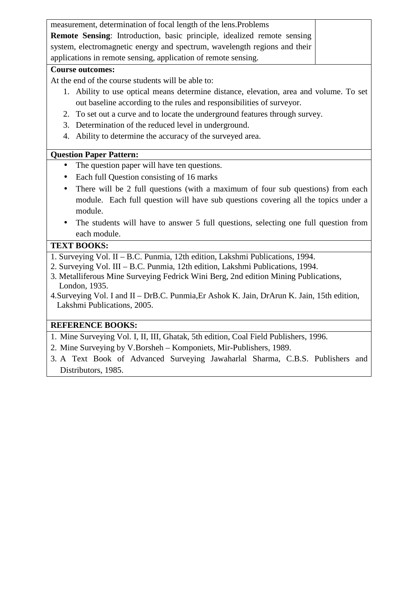| measurement, determination of focal length of the lens. Problems          |  |
|---------------------------------------------------------------------------|--|
| Remote Sensing: Introduction, basic principle, idealized remote sensing   |  |
| system, electromagnetic energy and spectrum, wavelength regions and their |  |
| applications in remote sensing, application of remote sensing.            |  |
|                                                                           |  |

#### **Course outcomes:**

At the end of the course students will be able to:

- 1. Ability to use optical means determine distance, elevation, area and volume. To set out baseline according to the rules and responsibilities of surveyor.
- 2. To set out a curve and to locate the underground features through survey.
- 3. Determination of the reduced level in underground.
- 4. Ability to determine the accuracy of the surveyed area.

### **Question Paper Pattern:**

- The question paper will have ten questions.
- Each full Question consisting of 16 marks
- There will be 2 full questions (with a maximum of four sub questions) from each module. Each full question will have sub questions covering all the topics under a module.
- The students will have to answer 5 full questions, selecting one full question from each module.

### **TEXT BOOKS:**

- 1. Surveying Vol. II B.C. Punmia, 12th edition, Lakshmi Publications, 1994.
- 2. Surveying Vol. III B.C. Punmia, 12th edition, Lakshmi Publications, 1994.
- 3. Metalliferous Mine Surveying Fedrick Wini Berg, 2nd edition Mining Publications, London, 1935.
- 4.Surveying Vol. I and II DrB.C. Punmia,Er Ashok K. Jain, DrArun K. Jain, 15th edition, Lakshmi Publications, 2005.

# **REFERENCE BOOKS:**

- 1. Mine Surveying Vol. I, II, III, Ghatak, 5th edition, Coal Field Publishers, 1996.
- 2. Mine Surveying by V.Borsheh Komponiets, Mir-Publishers, 1989.
- 3. A Text Book of Advanced Surveying Jawaharlal Sharma, C.B.S. Publishers and Distributors, 1985.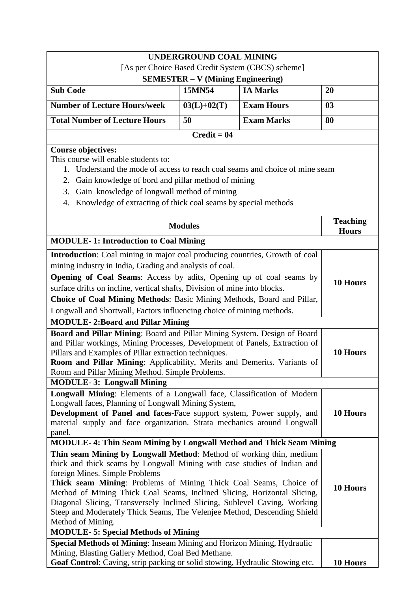| <b>UNDERGROUND COAL MINING</b>                                                                                                                                                                                                                                                                                                                                                                                                                                                                                   |                                          |                                                   |                 |  |
|------------------------------------------------------------------------------------------------------------------------------------------------------------------------------------------------------------------------------------------------------------------------------------------------------------------------------------------------------------------------------------------------------------------------------------------------------------------------------------------------------------------|------------------------------------------|---------------------------------------------------|-----------------|--|
|                                                                                                                                                                                                                                                                                                                                                                                                                                                                                                                  |                                          | [As per Choice Based Credit System (CBCS) scheme] |                 |  |
|                                                                                                                                                                                                                                                                                                                                                                                                                                                                                                                  | <b>SEMESTER - V (Mining Engineering)</b> |                                                   |                 |  |
| <b>Sub Code</b>                                                                                                                                                                                                                                                                                                                                                                                                                                                                                                  | 15MN54                                   | <b>IA Marks</b>                                   | 20              |  |
| <b>Number of Lecture Hours/week</b>                                                                                                                                                                                                                                                                                                                                                                                                                                                                              | $03(L)+02(T)$                            | <b>Exam Hours</b>                                 | 0 <sub>3</sub>  |  |
| <b>Total Number of Lecture Hours</b>                                                                                                                                                                                                                                                                                                                                                                                                                                                                             | 50                                       | <b>Exam Marks</b>                                 | 80              |  |
|                                                                                                                                                                                                                                                                                                                                                                                                                                                                                                                  | $Credit = 04$                            |                                                   |                 |  |
| <b>Course objectives:</b><br>This course will enable students to:<br>Understand the mode of access to reach coal seams and choice of mine seam<br>1.<br>Gain knowledge of bord and pillar method of mining<br>2.<br>Gain knowledge of longwall method of mining<br>3.<br>Knowledge of extracting of thick coal seams by special methods<br>4.                                                                                                                                                                    |                                          |                                                   |                 |  |
|                                                                                                                                                                                                                                                                                                                                                                                                                                                                                                                  |                                          |                                                   | <b>Teaching</b> |  |
|                                                                                                                                                                                                                                                                                                                                                                                                                                                                                                                  | <b>Modules</b>                           |                                                   | <b>Hours</b>    |  |
| <b>MODULE-1: Introduction to Coal Mining</b>                                                                                                                                                                                                                                                                                                                                                                                                                                                                     |                                          |                                                   |                 |  |
| Introduction: Coal mining in major coal producing countries, Growth of coal<br>mining industry in India, Grading and analysis of coal.<br><b>Opening of Coal Seams:</b> Access by adits, Opening up of coal seams by<br>surface drifts on incline, vertical shafts, Division of mine into blocks.<br>Choice of Coal Mining Methods: Basic Mining Methods, Board and Pillar,<br>Longwall and Shortwall, Factors influencing choice of mining methods.                                                             |                                          |                                                   | 10 Hours        |  |
| <b>MODULE-2:Board and Pillar Mining</b>                                                                                                                                                                                                                                                                                                                                                                                                                                                                          |                                          |                                                   |                 |  |
| Board and Pillar Mining: Board and Pillar Mining System. Design of Board<br>and Pillar workings, Mining Processes, Development of Panels, Extraction of<br>Pillars and Examples of Pillar extraction techniques.<br>Room and Pillar Mining: Applicability, Merits and Demerits. Variants of<br>Room and Pillar Mining Method. Simple Problems.                                                                                                                                                                   |                                          |                                                   | 10 Hours        |  |
| <b>MODULE-3: Longwall Mining</b>                                                                                                                                                                                                                                                                                                                                                                                                                                                                                 |                                          |                                                   |                 |  |
| Longwall Mining: Elements of a Longwall face, Classification of Modern<br>Longwall faces, Planning of Longwall Mining System,<br>Development of Panel and faces-Face support system, Power supply, and<br>material supply and face organization. Strata mechanics around Longwall<br>panel.                                                                                                                                                                                                                      |                                          |                                                   | 10 Hours        |  |
| <b>MODULE-4: Thin Seam Mining by Longwall Method and Thick Seam Mining</b>                                                                                                                                                                                                                                                                                                                                                                                                                                       |                                          |                                                   |                 |  |
| Thin seam Mining by Longwall Method: Method of working thin, medium<br>thick and thick seams by Longwall Mining with case studies of Indian and<br>foreign Mines. Simple Problems<br>Thick seam Mining: Problems of Mining Thick Coal Seams, Choice of<br>Method of Mining Thick Coal Seams, Inclined Slicing, Horizontal Slicing,<br>Diagonal Slicing, Transversely Inclined Slicing, Sublevel Caving, Working<br>Steep and Moderately Thick Seams, The Velenjee Method, Descending Shield<br>Method of Mining. |                                          | 10 Hours                                          |                 |  |
| <b>MODULE-5: Special Methods of Mining</b>                                                                                                                                                                                                                                                                                                                                                                                                                                                                       |                                          |                                                   |                 |  |
| Special Methods of Mining: Inseam Mining and Horizon Mining, Hydraulic<br>Mining, Blasting Gallery Method, Coal Bed Methane.<br>Goaf Control: Caving, strip packing or solid stowing, Hydraulic Stowing etc.                                                                                                                                                                                                                                                                                                     |                                          |                                                   | 10 Hours        |  |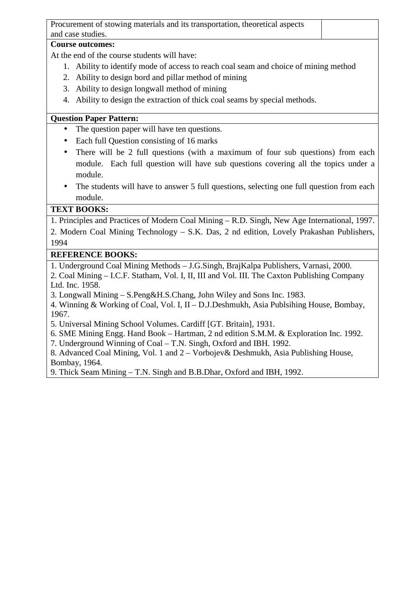Procurement of stowing materials and its transportation, theoretical aspects and case studies.

#### **Course outcomes:**

At the end of the course students will have:

- 1. Ability to identify mode of access to reach coal seam and choice of mining method
- 2. Ability to design bord and pillar method of mining
- 3. Ability to design longwall method of mining
- 4. Ability to design the extraction of thick coal seams by special methods.

### **Question Paper Pattern:**

- The question paper will have ten questions.
- Each full Question consisting of 16 marks
- There will be 2 full questions (with a maximum of four sub questions) from each module. Each full question will have sub questions covering all the topics under a module.
- The students will have to answer 5 full questions, selecting one full question from each module.

# **TEXT BOOKS:**

1. Principles and Practices of Modern Coal Mining – R.D. Singh, New Age International, 1997.

2. Modern Coal Mining Technology – S.K. Das, 2 nd edition, Lovely Prakashan Publishers, 1994

### **REFERENCE BOOKS:**

1. Underground Coal Mining Methods – J.G.Singh, BrajKalpa Publishers, Varnasi, 2000.

2. Coal Mining – I.C.F. Statham, Vol. I, II, III and Vol. III. The Caxton Publishing Company Ltd. Inc. 1958.

3. Longwall Mining – S.Peng&H.S.Chang, John Wiley and Sons Inc. 1983.

4. Winning & Working of Coal, Vol. I, II – D.J.Deshmukh, Asia Publsihing House, Bombay, 1967.

5. Universal Mining School Volumes. Cardiff [GT. Britain], 1931.

6. SME Mining Engg. Hand Book – Hartman, 2 nd edition S.M.M. & Exploration Inc. 1992.

7. Underground Winning of Coal – T.N. Singh, Oxford and IBH. 1992.

8. Advanced Coal Mining, Vol. 1 and 2 – Vorbojev& Deshmukh, Asia Publishing House, Bombay, 1964.

9. Thick Seam Mining – T.N. Singh and B.B.Dhar, Oxford and IBH, 1992.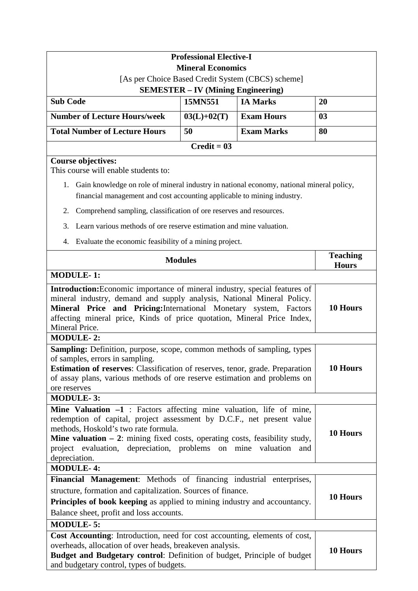|                                                                                                                                                                                                                                                                                                                                                                                                  | <b>Professional Elective-I</b>            |                   |                                 |
|--------------------------------------------------------------------------------------------------------------------------------------------------------------------------------------------------------------------------------------------------------------------------------------------------------------------------------------------------------------------------------------------------|-------------------------------------------|-------------------|---------------------------------|
|                                                                                                                                                                                                                                                                                                                                                                                                  | <b>Mineral Economics</b>                  |                   |                                 |
| [As per Choice Based Credit System (CBCS) scheme]                                                                                                                                                                                                                                                                                                                                                |                                           |                   |                                 |
|                                                                                                                                                                                                                                                                                                                                                                                                  | <b>SEMESTER – IV (Mining Engineering)</b> |                   |                                 |
| <b>Sub Code</b>                                                                                                                                                                                                                                                                                                                                                                                  | 15MN551                                   | <b>IA Marks</b>   | 20                              |
| <b>Number of Lecture Hours/week</b>                                                                                                                                                                                                                                                                                                                                                              | $03(L)+02(T)$                             | <b>Exam Hours</b> | 0 <sub>3</sub>                  |
| <b>Total Number of Lecture Hours</b>                                                                                                                                                                                                                                                                                                                                                             | 50                                        | <b>Exam Marks</b> | 80                              |
|                                                                                                                                                                                                                                                                                                                                                                                                  | $Credit = 03$                             |                   |                                 |
| <b>Course objectives:</b><br>This course will enable students to:                                                                                                                                                                                                                                                                                                                                |                                           |                   |                                 |
| 1. Gain knowledge on role of mineral industry in national economy, national mineral policy,                                                                                                                                                                                                                                                                                                      |                                           |                   |                                 |
| financial management and cost accounting applicable to mining industry.                                                                                                                                                                                                                                                                                                                          |                                           |                   |                                 |
| Comprehend sampling, classification of ore reserves and resources.<br>2.                                                                                                                                                                                                                                                                                                                         |                                           |                   |                                 |
| Learn various methods of ore reserve estimation and mine valuation.<br>3.                                                                                                                                                                                                                                                                                                                        |                                           |                   |                                 |
| Evaluate the economic feasibility of a mining project.<br>4.                                                                                                                                                                                                                                                                                                                                     |                                           |                   |                                 |
|                                                                                                                                                                                                                                                                                                                                                                                                  | <b>Modules</b>                            |                   | <b>Teaching</b><br><b>Hours</b> |
| <b>MODULE-1:</b>                                                                                                                                                                                                                                                                                                                                                                                 |                                           |                   |                                 |
| Mineral Price and Pricing: International Monetary system, Factors<br>affecting mineral price, Kinds of price quotation, Mineral Price Index,<br>Mineral Price.<br><b>MODULE-2:</b>                                                                                                                                                                                                               |                                           |                   | 10 Hours                        |
| Sampling: Definition, purpose, scope, common methods of sampling, types<br>of samples, errors in sampling.<br><b>10 Hours</b><br><b>Estimation of reserves:</b> Classification of reserves, tenor, grade. Preparation<br>of assay plans, various methods of ore reserve estimation and problems on<br>ore reserves                                                                               |                                           |                   |                                 |
| <b>MODULE-3:</b>                                                                                                                                                                                                                                                                                                                                                                                 |                                           |                   |                                 |
| <b>Mine Valuation <math>-1</math></b> : Factors affecting mine valuation, life of mine,<br>redemption of capital, project assessment by D.C.F., net present value<br>methods, Hoskold's two rate formula.<br><b>Mine valuation <math>-2</math>:</b> mining fixed costs, operating costs, feasibility study,<br>project evaluation, depreciation, problems on mine valuation and<br>depreciation. |                                           |                   | 10 Hours                        |
| <b>MODULE-4:</b>                                                                                                                                                                                                                                                                                                                                                                                 |                                           |                   |                                 |
| <b>Financial Management:</b> Methods of financing industrial enterprises,<br>structure, formation and capitalization. Sources of finance.<br><b>Principles of book keeping</b> as applied to mining industry and accountancy.<br>Balance sheet, profit and loss accounts.                                                                                                                        |                                           |                   | 10 Hours                        |
| <b>MODULE-5:</b>                                                                                                                                                                                                                                                                                                                                                                                 |                                           |                   |                                 |
| Cost Accounting: Introduction, need for cost accounting, elements of cost,<br>overheads, allocation of over heads, breakeven analysis.<br>Budget and Budgetary control: Definition of budget, Principle of budget<br>and budgetary control, types of budgets.                                                                                                                                    |                                           |                   | 10 Hours                        |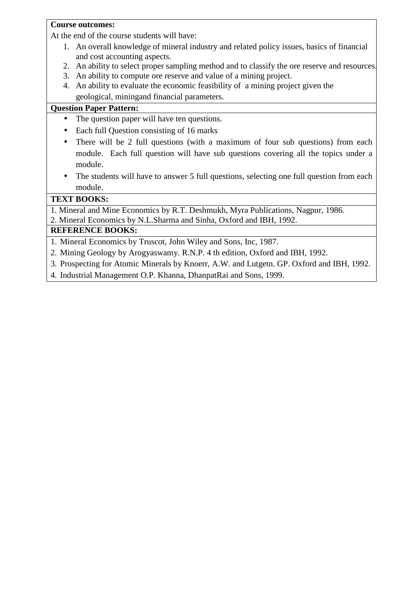#### **Course outcomes:**

At the end of the course students will have:

- 1. An overall knowledge of mineral industry and related policy issues, basics of financial and cost accounting aspects.
- 2. An ability to select proper sampling method and to classify the ore reserve and resources.
- 3. An ability to compute ore reserve and value of a mining project.
- 4. An ability to evaluate the economic feasibility of a mining project given the geological, miningand financial parameters.

#### **Question Paper Pattern:**

- The question paper will have ten questions.
- Each full Question consisting of 16 marks
- There will be 2 full questions (with a maximum of four sub questions) from each module. Each full question will have sub questions covering all the topics under a module.
- The students will have to answer 5 full questions, selecting one full question from each module.

# **TEXT BOOKS:**

1. Mineral and Mine Economics by R.T. Deshmukh, Myra Publications, Nagpur, 1986. 2. Mineral Economics by N.L.Sharma and Sinha, Oxford and IBH, 1992.

#### **REFERENCE BOOKS:**

1. Mineral Economics by Truscot, John Wiley and Sons, Inc, 1987.

- 2. Mining Geology by Arogyaswamy. R.N.P. 4 th edition, Oxford and IBH, 1992.
- 3. Prospecting for Atomic Minerals by Knoerr, A.W. and Lutgetn. GP. Oxford and IBH, 1992.
- 4. Industrial Management O.P. Khanna, DhanpatRai and Sons, 1999.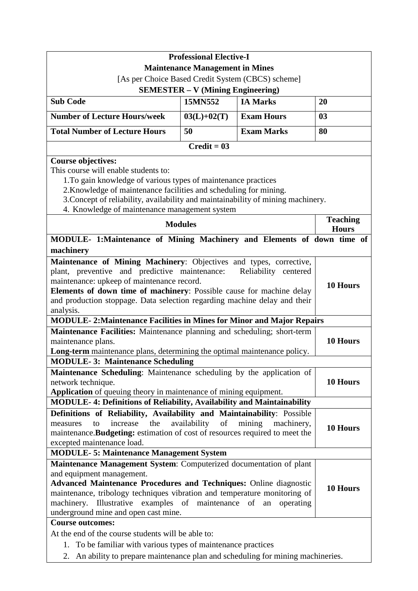|                                                                                                                                                                                                                                                                                                                                               | <b>Professional Elective-I</b>           |                                                   |                 |
|-----------------------------------------------------------------------------------------------------------------------------------------------------------------------------------------------------------------------------------------------------------------------------------------------------------------------------------------------|------------------------------------------|---------------------------------------------------|-----------------|
|                                                                                                                                                                                                                                                                                                                                               | <b>Maintenance Management in Mines</b>   |                                                   |                 |
|                                                                                                                                                                                                                                                                                                                                               |                                          | [As per Choice Based Credit System (CBCS) scheme] |                 |
|                                                                                                                                                                                                                                                                                                                                               | <b>SEMESTER – V (Mining Engineering)</b> |                                                   |                 |
| <b>Sub Code</b>                                                                                                                                                                                                                                                                                                                               | 15MN552                                  | <b>IA Marks</b>                                   | 20              |
| <b>Number of Lecture Hours/week</b>                                                                                                                                                                                                                                                                                                           | $03(L)+02(T)$                            | <b>Exam Hours</b>                                 | 03              |
| <b>Total Number of Lecture Hours</b>                                                                                                                                                                                                                                                                                                          | 50                                       | <b>Exam Marks</b>                                 | 80              |
|                                                                                                                                                                                                                                                                                                                                               | $Credit = 03$                            |                                                   |                 |
| <b>Course objectives:</b><br>This course will enable students to:<br>1. To gain knowledge of various types of maintenance practices<br>2. Knowledge of maintenance facilities and scheduling for mining.<br>3. Concept of reliability, availability and maintainability of mining machinery.<br>4. Knowledge of maintenance management system |                                          |                                                   |                 |
|                                                                                                                                                                                                                                                                                                                                               |                                          |                                                   | <b>Teaching</b> |
|                                                                                                                                                                                                                                                                                                                                               | <b>Modules</b>                           |                                                   | <b>Hours</b>    |
| MODULE- 1:Maintenance of Mining Machinery and Elements of down time of                                                                                                                                                                                                                                                                        |                                          |                                                   |                 |
| machinery                                                                                                                                                                                                                                                                                                                                     |                                          |                                                   |                 |
| Maintenance of Mining Machinery: Objectives and types, corrective,                                                                                                                                                                                                                                                                            |                                          |                                                   |                 |
| plant, preventive and predictive maintenance:                                                                                                                                                                                                                                                                                                 |                                          | Reliability centered                              |                 |
| maintenance: upkeep of maintenance record.                                                                                                                                                                                                                                                                                                    |                                          |                                                   | 10 Hours        |
| Elements of down time of machinery: Possible cause for machine delay                                                                                                                                                                                                                                                                          |                                          |                                                   |                 |
| and production stoppage. Data selection regarding machine delay and their                                                                                                                                                                                                                                                                     |                                          |                                                   |                 |
| analysis.                                                                                                                                                                                                                                                                                                                                     |                                          |                                                   |                 |
| <b>MODULE-2: Maintenance Facilities in Mines for Minor and Major Repairs</b>                                                                                                                                                                                                                                                                  |                                          |                                                   |                 |
| Maintenance Facilities: Maintenance planning and scheduling; short-term                                                                                                                                                                                                                                                                       |                                          |                                                   |                 |
| maintenance plans.<br>Long-term maintenance plans, determining the optimal maintenance policy.                                                                                                                                                                                                                                                |                                          |                                                   | 10 Hours        |
|                                                                                                                                                                                                                                                                                                                                               |                                          |                                                   |                 |
| <b>MODULE-3: Maintenance Scheduling</b>                                                                                                                                                                                                                                                                                                       |                                          |                                                   |                 |
| Maintenance Scheduling: Maintenance scheduling by the application of                                                                                                                                                                                                                                                                          |                                          |                                                   |                 |
| network technique.                                                                                                                                                                                                                                                                                                                            |                                          |                                                   | 10 Hours        |
| <b>Application</b> of queuing theory in maintenance of mining equipment.                                                                                                                                                                                                                                                                      |                                          |                                                   |                 |
| <b>MODULE-4: Definitions of Reliability, Availability and Maintainability</b>                                                                                                                                                                                                                                                                 |                                          |                                                   |                 |
| Definitions of Reliability, Availability and Maintainability: Possible<br>the<br>availability<br>of<br>mining<br>increase<br>machinery,<br>to<br>measures<br>maintenance. Budgeting: estimation of cost of resources required to meet the<br>excepted maintenance load.                                                                       |                                          |                                                   | 10 Hours        |
| <b>MODULE-5: Maintenance Management System</b>                                                                                                                                                                                                                                                                                                |                                          |                                                   |                 |
| Maintenance Management System: Computerized documentation of plant                                                                                                                                                                                                                                                                            |                                          |                                                   |                 |
| and equipment management.                                                                                                                                                                                                                                                                                                                     |                                          |                                                   |                 |
| <b>Advanced Maintenance Procedures and Techniques: Online diagnostic</b><br>maintenance, tribology techniques vibration and temperature monitoring of<br>machinery. Illustrative examples of maintenance of an<br>operating<br>underground mine and open cast mine.                                                                           |                                          |                                                   | 10 Hours        |
| <b>Course outcomes:</b>                                                                                                                                                                                                                                                                                                                       |                                          |                                                   |                 |
| At the end of the course students will be able to:                                                                                                                                                                                                                                                                                            |                                          |                                                   |                 |
| 1. To be familiar with various types of maintenance practices                                                                                                                                                                                                                                                                                 |                                          |                                                   |                 |
| An ability to prepare maintenance plan and scheduling for mining machineries.<br>2.                                                                                                                                                                                                                                                           |                                          |                                                   |                 |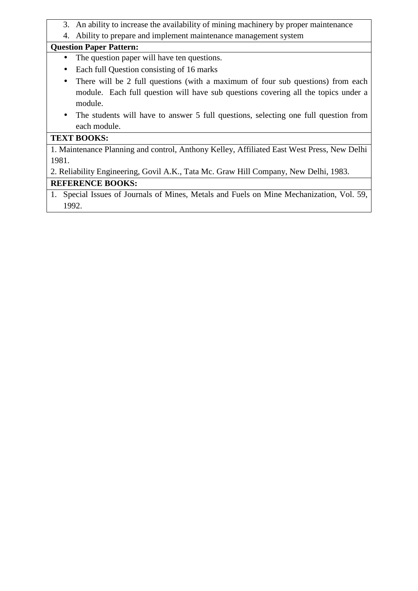- 3. An ability to increase the availability of mining machinery by proper maintenance
- 4. Ability to prepare and implement maintenance management system

#### **Question Paper Pattern:**

- The question paper will have ten questions.
- Each full Question consisting of 16 marks
- There will be 2 full questions (with a maximum of four sub questions) from each module. Each full question will have sub questions covering all the topics under a module.
- The students will have to answer 5 full questions, selecting one full question from each module.

# **TEXT BOOKS:**

1. Maintenance Planning and control, Anthony Kelley, Affiliated East West Press, New Delhi 1981.

2. Reliability Engineering, Govil A.K., Tata Mc. Graw Hill Company, New Delhi, 1983.

### **REFERENCE BOOKS:**

1. Special Issues of Journals of Mines, Metals and Fuels on Mine Mechanization, Vol. 59, 1992.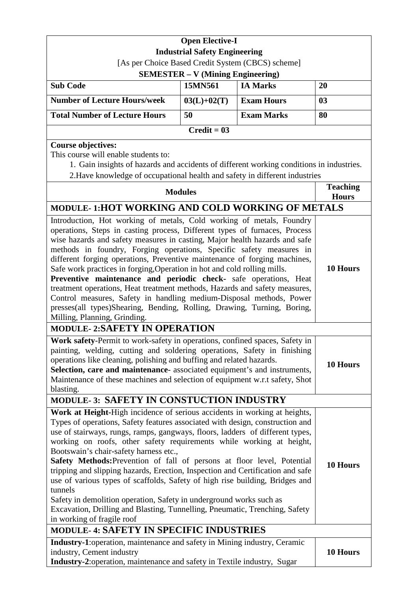| <b>Open Elective-I</b>                                                                                                                                                                                                                                                                                                                                                                                                                                                                                                                                                                                                                                                                                                                                                                                    |                                          |                                                   |                 |
|-----------------------------------------------------------------------------------------------------------------------------------------------------------------------------------------------------------------------------------------------------------------------------------------------------------------------------------------------------------------------------------------------------------------------------------------------------------------------------------------------------------------------------------------------------------------------------------------------------------------------------------------------------------------------------------------------------------------------------------------------------------------------------------------------------------|------------------------------------------|---------------------------------------------------|-----------------|
|                                                                                                                                                                                                                                                                                                                                                                                                                                                                                                                                                                                                                                                                                                                                                                                                           | <b>Industrial Safety Engineering</b>     |                                                   |                 |
|                                                                                                                                                                                                                                                                                                                                                                                                                                                                                                                                                                                                                                                                                                                                                                                                           |                                          | [As per Choice Based Credit System (CBCS) scheme] |                 |
|                                                                                                                                                                                                                                                                                                                                                                                                                                                                                                                                                                                                                                                                                                                                                                                                           | <b>SEMESTER – V (Mining Engineering)</b> |                                                   |                 |
| <b>Sub Code</b>                                                                                                                                                                                                                                                                                                                                                                                                                                                                                                                                                                                                                                                                                                                                                                                           | 15MN561                                  | <b>IA Marks</b>                                   | 20              |
| <b>Number of Lecture Hours/week</b>                                                                                                                                                                                                                                                                                                                                                                                                                                                                                                                                                                                                                                                                                                                                                                       | $03(L)+02(T)$                            | <b>Exam Hours</b>                                 | 03              |
| <b>Total Number of Lecture Hours</b>                                                                                                                                                                                                                                                                                                                                                                                                                                                                                                                                                                                                                                                                                                                                                                      | 50                                       | <b>Exam Marks</b>                                 | 80              |
|                                                                                                                                                                                                                                                                                                                                                                                                                                                                                                                                                                                                                                                                                                                                                                                                           | $Credit = 03$                            |                                                   |                 |
| <b>Course objectives:</b><br>This course will enable students to:<br>1. Gain insights of hazards and accidents of different working conditions in industries.<br>2. Have knowledge of occupational health and safety in different industries                                                                                                                                                                                                                                                                                                                                                                                                                                                                                                                                                              |                                          |                                                   |                 |
|                                                                                                                                                                                                                                                                                                                                                                                                                                                                                                                                                                                                                                                                                                                                                                                                           |                                          |                                                   | <b>Teaching</b> |
|                                                                                                                                                                                                                                                                                                                                                                                                                                                                                                                                                                                                                                                                                                                                                                                                           | <b>Modules</b>                           |                                                   | <b>Hours</b>    |
| MODULE-1:HOT WORKING AND COLD WORKING OF METALS                                                                                                                                                                                                                                                                                                                                                                                                                                                                                                                                                                                                                                                                                                                                                           |                                          |                                                   |                 |
| Introduction, Hot working of metals, Cold working of metals, Foundry<br>operations, Steps in casting process, Different types of furnaces, Process<br>wise hazards and safety measures in casting, Major health hazards and safe<br>methods in foundry, Forging operations, Specific safety measures in<br>different forging operations, Preventive maintenance of forging machines,<br>Safe work practices in forging, Operation in hot and cold rolling mills.<br>Preventive maintenance and periodic check- safe operations, Heat<br>treatment operations, Heat treatment methods, Hazards and safety measures,<br>Control measures, Safety in handling medium-Disposal methods, Power<br>presses(all types)Shearing, Bending, Rolling, Drawing, Turning, Boring,<br>Milling, Planning, Grinding.      |                                          |                                                   | 10 Hours        |
| <b>MODULE-2:SAFETY IN OPERATION</b>                                                                                                                                                                                                                                                                                                                                                                                                                                                                                                                                                                                                                                                                                                                                                                       |                                          |                                                   |                 |
| Work safety-Permit to work-safety in operations, confined spaces, Safety in<br>painting, welding, cutting and soldering operations, Safety in finishing<br>operations like cleaning, polishing and buffing and related hazards.<br>Selection, care and maintenance-associated equipment's and instruments,<br>Maintenance of these machines and selection of equipment w.r.t safety, Shot<br>blasting.                                                                                                                                                                                                                                                                                                                                                                                                    |                                          |                                                   | 10 Hours        |
| MODULE-3: SAFETY IN CONSTUCTION INDUSTRY                                                                                                                                                                                                                                                                                                                                                                                                                                                                                                                                                                                                                                                                                                                                                                  |                                          |                                                   |                 |
| Work at Height-High incidence of serious accidents in working at heights,<br>Types of operations, Safety features associated with design, construction and<br>use of stairways, rungs, ramps, gangways, floors, ladders of different types,<br>working on roofs, other safety requirements while working at height,<br>Bootswain's chair-safety harness etc.,<br>Safety Methods: Prevention of fall of persons at floor level, Potential<br>tripping and slipping hazards, Erection, Inspection and Certification and safe<br>use of various types of scaffolds, Safety of high rise building, Bridges and<br>tunnels<br>Safety in demolition operation, Safety in underground works such as<br>Excavation, Drilling and Blasting, Tunnelling, Pneumatic, Trenching, Safety<br>in working of fragile roof |                                          |                                                   | 10 Hours        |
| MODULE-4: SAFETY IN SPECIFIC INDUSTRIES                                                                                                                                                                                                                                                                                                                                                                                                                                                                                                                                                                                                                                                                                                                                                                   |                                          |                                                   |                 |
| Industry-1: operation, maintenance and safety in Mining industry, Ceramic<br>industry, Cement industry<br>Industry-2: operation, maintenance and safety in Textile industry, Sugar                                                                                                                                                                                                                                                                                                                                                                                                                                                                                                                                                                                                                        |                                          |                                                   | 10 Hours        |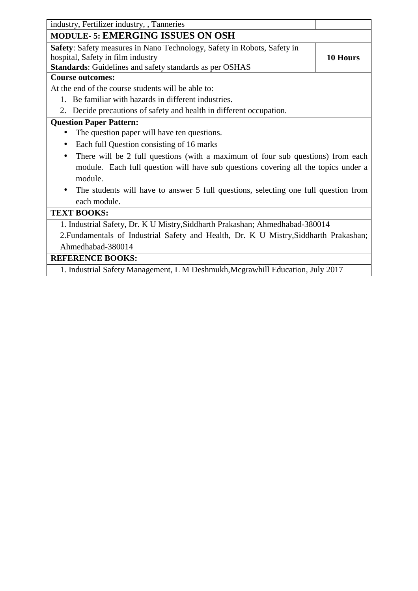| industry, Fertilizer industry, , Tanneries                                                       |          |
|--------------------------------------------------------------------------------------------------|----------|
| <b>MODULE-5: EMERGING ISSUES ON OSH</b>                                                          |          |
| Safety: Safety measures in Nano Technology, Safety in Robots, Safety in                          |          |
| hospital, Safety in film industry                                                                | 10 Hours |
| Standards: Guidelines and safety standards as per OSHAS                                          |          |
| <b>Course outcomes:</b>                                                                          |          |
| At the end of the course students will be able to:                                               |          |
| 1. Be familiar with hazards in different industries.                                             |          |
| 2. Decide precautions of safety and health in different occupation.                              |          |
| <b>Question Paper Pattern:</b>                                                                   |          |
| The question paper will have ten questions.                                                      |          |
| Each full Question consisting of 16 marks                                                        |          |
| There will be 2 full questions (with a maximum of four sub questions) from each                  |          |
| module. Each full question will have sub questions covering all the topics under a               |          |
| module.                                                                                          |          |
| The students will have to answer 5 full questions, selecting one full question from<br>$\bullet$ |          |
| each module.                                                                                     |          |
| <b>TEXT BOOKS:</b>                                                                               |          |
| 1. Industrial Safety, Dr. K U Mistry, Siddharth Prakashan; Ahmedhabad-380014                     |          |
| 2. Fundamentals of Industrial Safety and Health, Dr. K U Mistry, Siddharth Prakashan;            |          |
| Ahmedhabad-380014                                                                                |          |
| <b>REFERENCE BOOKS:</b>                                                                          |          |
| 1. Industrial Safety Management, L M Deshmukh, Mcgrawhill Education, July 2017                   |          |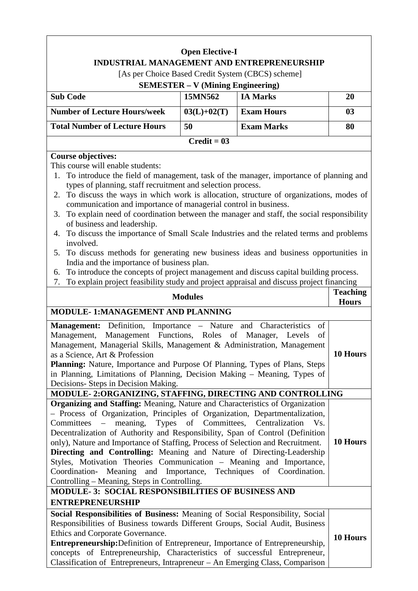# **Open Elective-I INDUSTRIAL MANAGEMENT AND ENTREPRENEURSHIP** [As per Choice Based Credit System (CBCS) scheme] **SEMESTER – V (Mining Engineering) Sub Code 15MN562 IA Marks 20**  Number of Lecture Hours/week  $\begin{array}{|c|c|c|c|c|c|c|c|c|} \hline 03(L)+02(T) & \text{Exam Hours} & 03 \\ \hline \end{array}$ **Total Number of Lecture Hours 50 Exam Marks 1 80 Credit = 03 Course objectives:**  This course will enable students: 1. To introduce the field of management, task of the manager, importance of planning and types of planning, staff recruitment and selection process. 2. To discuss the ways in which work is allocation, structure of organizations, modes of communication and importance of managerial control in business. 3. To explain need of coordination between the manager and staff, the social responsibility of business and leadership. 4. To discuss the importance of Small Scale Industries and the related terms and problems involved. 5. To discuss methods for generating new business ideas and business opportunities in India and the importance of business plan. 6. To introduce the concepts of project management and discuss capital building process. 7. To explain project feasibility study and project appraisal and discuss project financing **Modules Teaching Hours MODULE- 1:MANAGEMENT AND PLANNING Management:** Definition, Importance – Nature and Characteristics of Management, Management Functions, Roles of Manager, Levels of Management, Managerial Skills, Management & Administration, Management as a Science, Art & Profession **Planning:** Nature, Importance and Purpose Of Planning, Types of Plans, Steps in Planning, Limitations of Planning, Decision Making – Meaning, Types of Decisions- Steps in Decision Making. **10 Hours MODULE- 2:ORGANIZING, STAFFING, DIRECTING AND CONTROLLING Organizing and Staffing:** Meaning, Nature and Characteristics of Organization – Process of Organization, Principles of Organization, Departmentalization, Committees – meaning, Types of Committees, Centralization Vs. Decentralization of Authority and Responsibility, Span of Control (Definition only), Nature and Importance of Staffing, Process of Selection and Recruitment. **Directing and Controlling:** Meaning and Nature of Directing-Leadership Styles, Motivation Theories Communication – Meaning and Importance, Coordination- Meaning and Importance, Techniques of Coordination. Controlling – Meaning, Steps in Controlling. **10 Hours MODULE- 3: SOCIAL RESPONSIBILITIES OF BUSINESS AND ENTREPRENEURSHIP**

| Social Responsibilities of Business: Meaning of Social Responsibility, Social |          |
|-------------------------------------------------------------------------------|----------|
| Responsibilities of Business towards Different Groups, Social Audit, Business |          |
| Ethics and Corporate Governance.                                              | 10 Hours |
| Entrepreneurship: Definition of Entrepreneur, Importance of Entrepreneurship, |          |
| concepts of Entrepreneurship, Characteristics of successful Entrepreneur,     |          |
| Classification of Entrepreneurs, Intrapreneur – An Emerging Class, Comparison |          |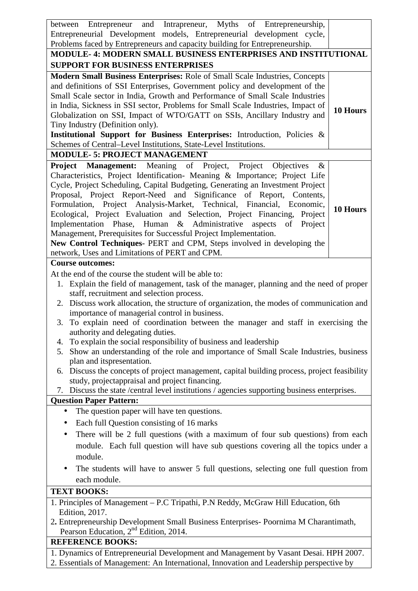| between Entrepreneur and Intrapreneur, Myths of Entrepreneurship,                                                                                 |          |  |
|---------------------------------------------------------------------------------------------------------------------------------------------------|----------|--|
| Entrepreneurial Development models, Entrepreneurial development cycle,                                                                            |          |  |
| Problems faced by Entrepreneurs and capacity building for Entrepreneurship.                                                                       |          |  |
| <b>MODULE-4: MODERN SMALL BUSINESS ENTERPRISES AND INSTITUTIONAL</b>                                                                              |          |  |
| <b>SUPPORT FOR BUSINESS ENTERPRISES</b>                                                                                                           |          |  |
| Modern Small Business Enterprises: Role of Small Scale Industries, Concepts                                                                       |          |  |
| and definitions of SSI Enterprises, Government policy and development of the                                                                      |          |  |
| Small Scale sector in India, Growth and Performance of Small Scale Industries                                                                     |          |  |
| in India, Sickness in SSI sector, Problems for Small Scale Industries, Impact of                                                                  | 10 Hours |  |
| Globalization on SSI, Impact of WTO/GATT on SSIs, Ancillary Industry and                                                                          |          |  |
| Tiny Industry (Definition only).                                                                                                                  |          |  |
| Institutional Support for Business Enterprises: Introduction, Policies &                                                                          |          |  |
| Schemes of Central-Level Institutions, State-Level Institutions.                                                                                  |          |  |
| <b>MODULE- 5: PROJECT MANAGEMENT</b>                                                                                                              |          |  |
| Project Management: Meaning of Project, Project Objectives<br>$\&$                                                                                |          |  |
| Characteristics, Project Identification- Meaning & Importance; Project Life                                                                       |          |  |
| Cycle, Project Scheduling, Capital Budgeting, Generating an Investment Project                                                                    |          |  |
| Proposal, Project Report-Need and Significance of Report, Contents,                                                                               |          |  |
| Formulation, Project Analysis-Market, Technical, Financial, Economic,<br>Ecological, Project Evaluation and Selection, Project Financing, Project | 10 Hours |  |
| Implementation Phase, Human & Administrative aspects<br>of<br>Project                                                                             |          |  |
| Management, Prerequisites for Successful Project Implementation.                                                                                  |          |  |
| New Control Techniques- PERT and CPM, Steps involved in developing the                                                                            |          |  |
| network, Uses and Limitations of PERT and CPM.                                                                                                    |          |  |
| <b>Course outcomes:</b>                                                                                                                           |          |  |
| At the end of the course the student will be able to:                                                                                             |          |  |
| 1. Explain the field of management, task of the manager, planning and the need of proper                                                          |          |  |
| staff, recruitment and selection process.                                                                                                         |          |  |
| 2. Discuss work allocation, the structure of organization, the modes of communication and                                                         |          |  |
| importance of managerial control in business.                                                                                                     |          |  |
| 3. To explain need of coordination between the manager and staff in exercising the                                                                |          |  |
| authority and delegating duties.                                                                                                                  |          |  |
| 4. To explain the social responsibility of business and leadership                                                                                |          |  |
| Show an understanding of the role and importance of Small Scale Industries, business<br>5.                                                        |          |  |
| plan and its presentation.                                                                                                                        |          |  |
| 6. Discuss the concepts of project management, capital building process, project feasibility                                                      |          |  |
| study, projectappraisal and project financing.                                                                                                    |          |  |
| 7. Discuss the state / central level institutions / agencies supporting business enterprises.                                                     |          |  |
| <b>Question Paper Pattern:</b>                                                                                                                    |          |  |
| The question paper will have ten questions.<br>$\bullet$                                                                                          |          |  |
| Each full Question consisting of 16 marks<br>$\bullet$                                                                                            |          |  |
| There will be 2 full questions (with a maximum of four sub questions) from each<br>٠                                                              |          |  |
| module. Each full question will have sub questions covering all the topics under a                                                                |          |  |
| module.                                                                                                                                           |          |  |
| The students will have to answer 5 full questions, selecting one full question from<br>$\bullet$                                                  |          |  |
| each module.                                                                                                                                      |          |  |
| <b>TEXT BOOKS:</b>                                                                                                                                |          |  |
| 1. Principles of Management - P.C Tripathi, P.N Reddy, McGraw Hill Education, 6th                                                                 |          |  |
| <b>Edition</b> , 2017.                                                                                                                            |          |  |
| 2. Entrepreneurship Development Small Business Enterprises- Poornima M Charantimath,                                                              |          |  |
| Pearson Education, 2 <sup>nd</sup> Edition, 2014.                                                                                                 |          |  |
| <b>REFERENCE BOOKS:</b>                                                                                                                           |          |  |
| 1. Dynamics of Entrepreneurial Development and Management by Vasant Desai. HPH 2007.                                                              |          |  |
| 2. Essentials of Management: An International, Innovation and Leadership perspective by                                                           |          |  |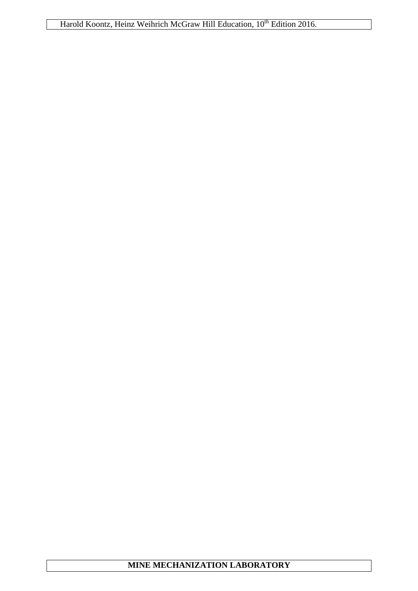Harold Koontz, Heinz Weihrich McGraw Hill Education, 10<sup>th</sup> Edition 2016.

# **MINE MECHANIZATION LABORATORY**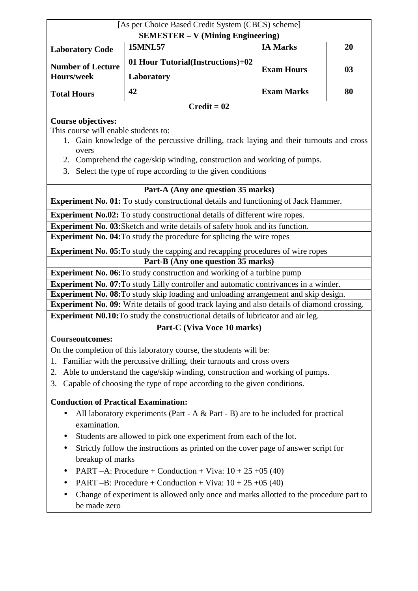| [As per Choice Based Credit System (CBCS) scheme]                                                                                                           |                                                                                                                                                                                                                                 |                   |    |  |
|-------------------------------------------------------------------------------------------------------------------------------------------------------------|---------------------------------------------------------------------------------------------------------------------------------------------------------------------------------------------------------------------------------|-------------------|----|--|
|                                                                                                                                                             | <b>SEMESTER - V (Mining Engineering)</b><br><b>15MNL57</b>                                                                                                                                                                      | <b>IA Marks</b>   | 20 |  |
| <b>Laboratory Code</b>                                                                                                                                      |                                                                                                                                                                                                                                 |                   |    |  |
| <b>Number of Lecture</b>                                                                                                                                    | 01 Hour Tutorial(Instructions)+02                                                                                                                                                                                               | <b>Exam Hours</b> | 03 |  |
| Hours/week                                                                                                                                                  | Laboratory                                                                                                                                                                                                                      |                   |    |  |
| <b>Total Hours</b>                                                                                                                                          | 42                                                                                                                                                                                                                              | <b>Exam Marks</b> | 80 |  |
|                                                                                                                                                             | $Credit = 02$                                                                                                                                                                                                                   |                   |    |  |
| <b>Course objectives:</b><br>This course will enable students to:<br>overs<br>2.                                                                            | 1. Gain knowledge of the percussive drilling, track laying and their turnouts and cross<br>Comprehend the cage/skip winding, construction and working of pumps.<br>3. Select the type of rope according to the given conditions |                   |    |  |
|                                                                                                                                                             | Part-A (Any one question 35 marks)                                                                                                                                                                                              |                   |    |  |
|                                                                                                                                                             | <b>Experiment No. 01:</b> To study constructional details and functioning of Jack Hammer.                                                                                                                                       |                   |    |  |
|                                                                                                                                                             | <b>Experiment No.02:</b> To study constructional details of different wire ropes.                                                                                                                                               |                   |    |  |
|                                                                                                                                                             | <b>Experiment No. 03:</b> Sketch and write details of safety hook and its function.                                                                                                                                             |                   |    |  |
|                                                                                                                                                             | <b>Experiment No. 04:</b> To study the procedure for splicing the wire ropes                                                                                                                                                    |                   |    |  |
|                                                                                                                                                             | <b>Experiment No. 05:</b> To study the capping and recapping procedures of wire ropes                                                                                                                                           |                   |    |  |
|                                                                                                                                                             | Part-B (Any one question 35 marks)                                                                                                                                                                                              |                   |    |  |
| <b>Experiment No. 06:</b> To study construction and working of a turbine pump                                                                               |                                                                                                                                                                                                                                 |                   |    |  |
|                                                                                                                                                             | <b>Experiment No. 07:</b> To study Lilly controller and automatic contrivances in a winder.                                                                                                                                     |                   |    |  |
|                                                                                                                                                             | <b>Experiment No. 08:</b> To study skip loading and unloading arrangement and skip design.                                                                                                                                      |                   |    |  |
| <b>Experiment No. 09:</b> Write details of good track laying and also details of diamond crossing.                                                          |                                                                                                                                                                                                                                 |                   |    |  |
| <b>Experiment N0.10:</b> To study the constructional details of lubricator and air leg.                                                                     |                                                                                                                                                                                                                                 |                   |    |  |
| <b>Courseoutcomes:</b>                                                                                                                                      | Part-C (Viva Voce 10 marks)                                                                                                                                                                                                     |                   |    |  |
|                                                                                                                                                             | On the completion of this laboratory course, the students will be:                                                                                                                                                              |                   |    |  |
| 1.                                                                                                                                                          |                                                                                                                                                                                                                                 |                   |    |  |
| Familiar with the percussive drilling, their turnouts and cross overs<br>Able to understand the cage/skip winding, construction and working of pumps.<br>2. |                                                                                                                                                                                                                                 |                   |    |  |
| Capable of choosing the type of rope according to the given conditions.<br>3.                                                                               |                                                                                                                                                                                                                                 |                   |    |  |
|                                                                                                                                                             |                                                                                                                                                                                                                                 |                   |    |  |
| <b>Conduction of Practical Examination:</b>                                                                                                                 |                                                                                                                                                                                                                                 |                   |    |  |
| $\bullet$                                                                                                                                                   | All laboratory experiments (Part - A $&$ Part - B) are to be included for practical                                                                                                                                             |                   |    |  |
| examination.                                                                                                                                                |                                                                                                                                                                                                                                 |                   |    |  |
|                                                                                                                                                             | Students are allowed to pick one experiment from each of the lot.                                                                                                                                                               |                   |    |  |
| $\bullet$                                                                                                                                                   | Strictly follow the instructions as printed on the cover page of answer script for                                                                                                                                              |                   |    |  |
| breakup of marks                                                                                                                                            |                                                                                                                                                                                                                                 |                   |    |  |
|                                                                                                                                                             | PART -A: Procedure + Conduction + Viva: $10 + 25 + 05$ (40)                                                                                                                                                                     |                   |    |  |
|                                                                                                                                                             | PART -B: Procedure + Conduction + Viva: $10 + 25 + 05$ (40)                                                                                                                                                                     |                   |    |  |
| be made zero                                                                                                                                                | Change of experiment is allowed only once and marks allotted to the procedure part to                                                                                                                                           |                   |    |  |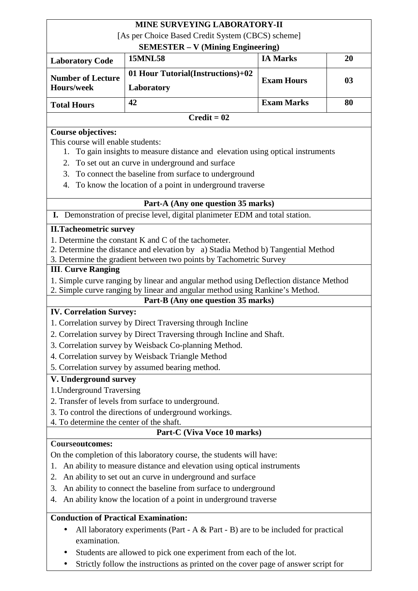# **MINE SURVEYING LABORATORY-II**

|                                                                                                            | <u>de Burtelling Laboratori</u>                                                                   |                   |    |  |
|------------------------------------------------------------------------------------------------------------|---------------------------------------------------------------------------------------------------|-------------------|----|--|
| [As per Choice Based Credit System (CBCS) scheme]<br><b>SEMESTER – V (Mining Engineering)</b>              |                                                                                                   |                   |    |  |
| <b>Laboratory Code</b>                                                                                     | <b>15MNL58</b>                                                                                    | <b>IA Marks</b>   | 20 |  |
| <b>Number of Lecture</b><br>Hours/week                                                                     | 01 Hour Tutorial(Instructions)+02                                                                 | <b>Exam Hours</b> | 03 |  |
|                                                                                                            | Laboratory                                                                                        |                   |    |  |
| <b>Total Hours</b>                                                                                         | 42                                                                                                | <b>Exam Marks</b> | 80 |  |
| $Credit = 02$                                                                                              |                                                                                                   |                   |    |  |
| <b>Course objectives:</b>                                                                                  |                                                                                                   |                   |    |  |
| This course will enable students:                                                                          |                                                                                                   |                   |    |  |
| 1. To gain insights to measure distance and elevation using optical instruments                            |                                                                                                   |                   |    |  |
| To set out an curve in underground and surface<br>2.                                                       |                                                                                                   |                   |    |  |
| To connect the baseline from surface to underground<br>3.                                                  |                                                                                                   |                   |    |  |
| 4.                                                                                                         | To know the location of a point in underground traverse                                           |                   |    |  |
|                                                                                                            | Part-A (Any one question 35 marks)                                                                |                   |    |  |
| I. Demonstration of precise level, digital planimeter EDM and total station.                               |                                                                                                   |                   |    |  |
| <b>II.Tacheometric survey</b>                                                                              |                                                                                                   |                   |    |  |
| 1. Determine the constant K and C of the tachometer.                                                       |                                                                                                   |                   |    |  |
| 2. Determine the distance and elevation by a) Stadia Method b) Tangential Method                           |                                                                                                   |                   |    |  |
|                                                                                                            | 3. Determine the gradient between two points by Tachometric Survey                                |                   |    |  |
| <b>III. Curve Ranging</b>                                                                                  |                                                                                                   |                   |    |  |
| 1. Simple curve ranging by linear and angular method using Deflection distance Method                      |                                                                                                   |                   |    |  |
| 2. Simple curve ranging by linear and angular method using Rankine's Method.                               |                                                                                                   |                   |    |  |
|                                                                                                            | Part-B (Any one question 35 marks)                                                                |                   |    |  |
| <b>IV. Correlation Survey:</b>                                                                             |                                                                                                   |                   |    |  |
| 1. Correlation survey by Direct Traversing through Incline                                                 |                                                                                                   |                   |    |  |
| 2. Correlation survey by Direct Traversing through Incline and Shaft.                                      |                                                                                                   |                   |    |  |
| 3. Correlation survey by Weisback Co-planning Method.<br>4. Correlation survey by Weisback Triangle Method |                                                                                                   |                   |    |  |
| 5. Correlation survey by assumed bearing method.                                                           |                                                                                                   |                   |    |  |
|                                                                                                            |                                                                                                   |                   |    |  |
| V. Underground survey                                                                                      |                                                                                                   |                   |    |  |
| 1. Underground Traversing                                                                                  |                                                                                                   |                   |    |  |
| 2. Transfer of levels from surface to underground.                                                         |                                                                                                   |                   |    |  |
|                                                                                                            | 3. To control the directions of underground workings.<br>4. To determine the center of the shaft. |                   |    |  |
| Part-C (Viva Voce 10 marks)                                                                                |                                                                                                   |                   |    |  |
| <b>Courseoutcomes:</b>                                                                                     |                                                                                                   |                   |    |  |
| On the completion of this laboratory course, the students will have:                                       |                                                                                                   |                   |    |  |
| An ability to measure distance and elevation using optical instruments<br>1.                               |                                                                                                   |                   |    |  |
| An ability to set out an curve in underground and surface<br>2.                                            |                                                                                                   |                   |    |  |
| An ability to connect the baseline from surface to underground<br>3.                                       |                                                                                                   |                   |    |  |
| An ability know the location of a point in underground traverse                                            |                                                                                                   |                   |    |  |
| 4.                                                                                                         |                                                                                                   |                   |    |  |

# **Conduction of Practical Examination:**

- All laboratory experiments (Part A & Part B) are to be included for practical examination.
- Students are allowed to pick one experiment from each of the lot.
- Strictly follow the instructions as printed on the cover page of answer script for